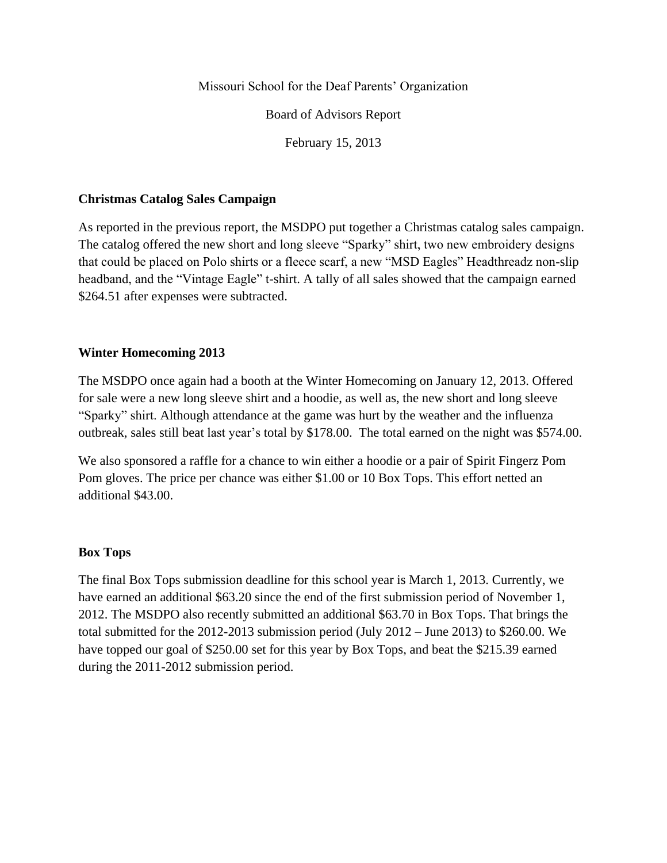Missouri School for the Deaf Parents' Organization

Board of Advisors Report

February 15, 2013

#### **Christmas Catalog Sales Campaign**

As reported in the previous report, the MSDPO put together a Christmas catalog sales campaign. The catalog offered the new short and long sleeve "Sparky" shirt, two new embroidery designs that could be placed on Polo shirts or a fleece scarf, a new "MSD Eagles" Headthreadz non-slip headband, and the "Vintage Eagle" t-shirt. A tally of all sales showed that the campaign earned \$264.51 after expenses were subtracted.

## **Winter Homecoming 2013**

The MSDPO once again had a booth at the Winter Homecoming on January 12, 2013. Offered for sale were a new long sleeve shirt and a hoodie, as well as, the new short and long sleeve "Sparky" shirt. Although attendance at the game was hurt by the weather and the influenza outbreak, sales still beat last year's total by \$178.00. The total earned on the night was \$574.00.

We also sponsored a raffle for a chance to win either a hoodie or a pair of Spirit Fingerz Pom Pom gloves. The price per chance was either \$1.00 or 10 Box Tops. This effort netted an additional \$43.00.

## **Box Tops**

The final Box Tops submission deadline for this school year is March 1, 2013. Currently, we have earned an additional \$63.20 since the end of the first submission period of November 1, 2012. The MSDPO also recently submitted an additional \$63.70 in Box Tops. That brings the total submitted for the 2012-2013 submission period (July 2012 – June 2013) to \$260.00. We have topped our goal of \$250.00 set for this year by Box Tops, and beat the \$215.39 earned during the 2011-2012 submission period.